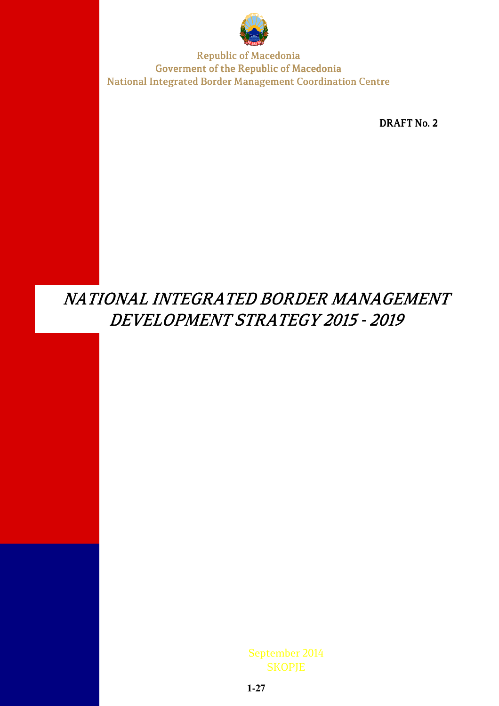

DRAFT No. 2

# NATIONAL INTEGRATED BORDER MANAGEMENT DEVELOPMENT STRATEGY 2015 - 2019

September 2014 **SKOPJE**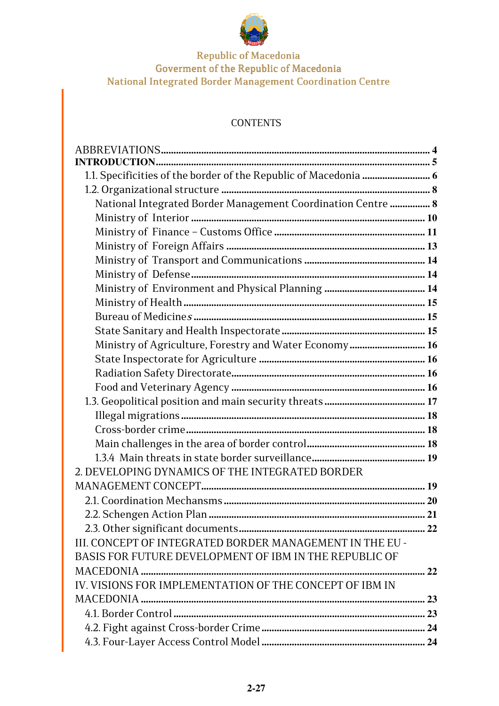

## **CONTENTS**

| National Integrated Border Management Coordination Centre  8 |  |
|--------------------------------------------------------------|--|
|                                                              |  |
|                                                              |  |
|                                                              |  |
|                                                              |  |
|                                                              |  |
|                                                              |  |
|                                                              |  |
|                                                              |  |
|                                                              |  |
| Ministry of Agriculture, Forestry and Water Economy 16       |  |
|                                                              |  |
|                                                              |  |
|                                                              |  |
|                                                              |  |
|                                                              |  |
|                                                              |  |
|                                                              |  |
|                                                              |  |
| 2. DEVELOPING DYNAMICS OF THE INTEGRATED BORDER              |  |
|                                                              |  |
|                                                              |  |
|                                                              |  |
|                                                              |  |
| III. CONCEPT OF INTEGRATED BORDER MANAGEMENT IN THE EU -     |  |
| BASIS FOR FUTURE DEVELOPMENT OF IBM IN THE REPUBLIC OF       |  |
|                                                              |  |
| IV. VISIONS FOR IMPLEMENTATION OF THE CONCEPT OF IBM IN      |  |
|                                                              |  |
|                                                              |  |
|                                                              |  |
|                                                              |  |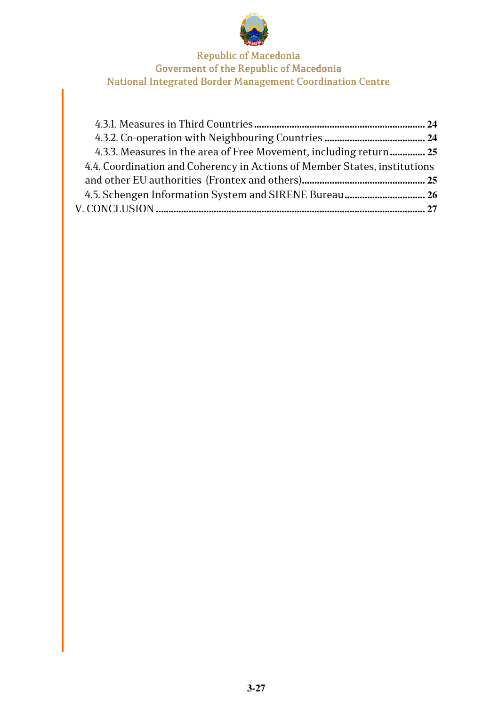

| 4.3.3. Measures in the area of Free Movement, including return 25         |  |
|---------------------------------------------------------------------------|--|
| 4.4. Coordination and Coherency in Actions of Member States, institutions |  |
|                                                                           |  |
|                                                                           |  |
|                                                                           |  |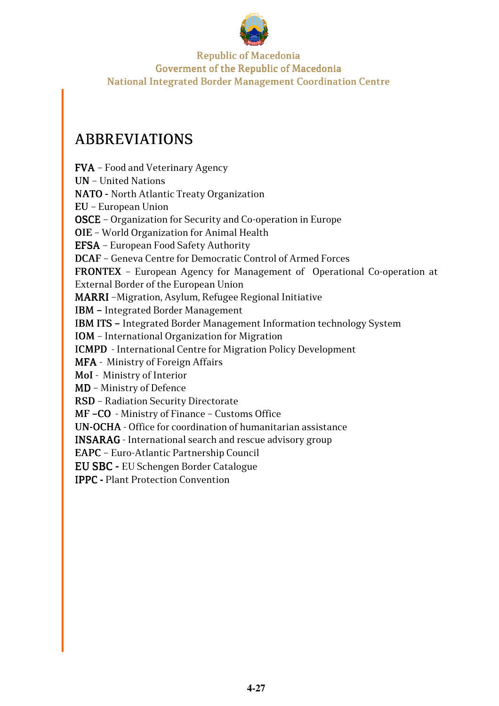

## ABBREVIATIONS ABBREVIATIONS

FVA– Food and Veterinary Agency **UN** - United Nations NATO - North Atlantic Treaty Organization EU - European Union OSCE - Organization for Security and Co-operation in Europe OIE - World Organization for Animal Health EFSA– European Food Safety Authority DCAF - Geneva Centre for Democratic Control of Armed Forces FRONTEX - European Agency for Management of Operational Co-operation at External Border of the European Union MARRI -Migration, Asylum, Refugee Regional Initiative IBM–Integrated Border Management IBM ITS - Integrated Border Management Information technology System IOM - International Organization for Migration ICMPD - International Centre for Migration Policy Development MFA - Ministry of Foreign Affairs MoI- Ministry of Interior  $MD$  – Ministry of Defence RSD - Radiation Security Directorate MF–CO - Ministry of Finance – Customs Office UN-OCHA - Office for coordination of humanitarian assistance INSARAG - International search and rescue advisory group EAPC - Euro-Atlantic Partnership Council

EU SBC - EU Schengen Border Catalogue

IPPC - Plant Protection Convention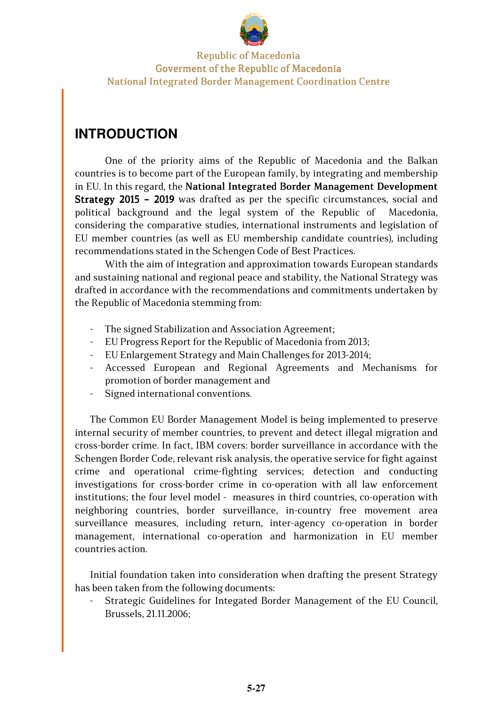

## **INTRODUCTION**

One of the priority aims of the Republic of Macedonia and the Balkan countries is to become part of the European family, by integrating and membership in EU. In this regard, the National Integrated Border Management Development Strategy 2015 - 2019 was drafted as per the specific circumstances, social and political background and the legal system of the Republic of Macedonia, considering the comparative studies, international instruments and legislation of EU member countries (as well as EU membership candidate countries), including recommendations stated in the Schengen Code of Best Practices.

With the aim of integration and approximation towards European standards and sustaining national and regional peace and stability, the National Strategy was drafted in accordance with the recommendations and commitments undertaken by the Republic of Macedonia stemming from:

- The signed Stabilization and Association Agreement;
- EU Progress Report for the Republic of Macedonia from 2013;
- EU Enlargement Strategy and Main Challenges for 2013-2014;
- Accessed European and Regional Agreements and Mechanisms for promotion of border management and
- Signed international conventions.

The Common EU Border Management Model is being implemented to preserve internal security of member countries, to prevent and detect illegal migration and cross-border crime. In fact, IBM covers: border surveillance in accordance with the Schengen Border Code, relevant risk analysis, the operative service for fight against crime and operational crime-fighting services; detection and conducting investigations for cross-border crime in co-operation with all law enforcement institutions; the four level model - measures in third countries, co-operation with neighboring countries, border surveillance, in-country free movement area surveillance measures, including return, inter-agency co-operation in border management, international co-operation and harmonization in EU member countries action.

Initial foundation taken into consideration when drafting the present Strategy has been taken from the following documents:

- Strategic Guidelines for Integated Border Management of the EU Council, Brussels, 21.11.2006;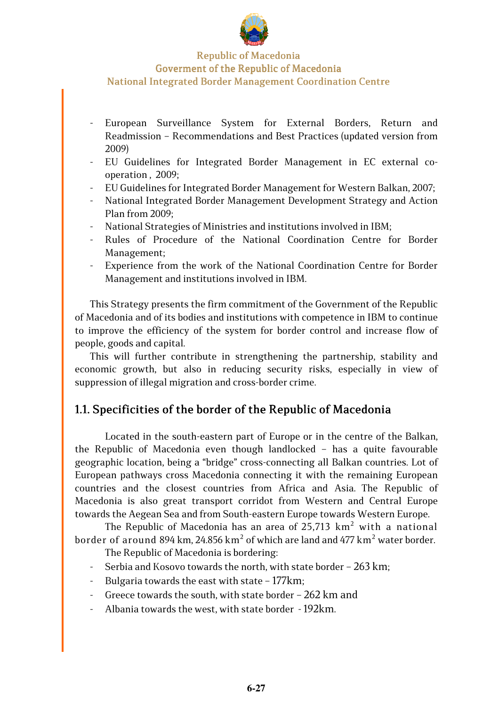

- European Surveillance System for External Borders, Return and Readmission – Recommendations and Best Practices (updated version from 2009)
- EU Guidelines for Integrated Border Management in EC external cooperation , 2009;
- EU Guidelines for Integrated Border Management for Western Balkan, 2007;
- National Integrated Border Management Development Strategy and Action Plan from 2009;
- National Strategies of Ministries and institutions involved in IBM;
- Rules of Procedure of the National Coordination Centre for Border Management;
- Experience from the work of the National Coordination Centre for Border Management and institutions involved in IBM.

This Strategy presents the firm commitment of the Government of the Republic of Macedonia and of its bodies and institutions with competence in IBM to continue to improve the efficiency of the system for border control and increase flow of people, goods and capital.

This will further contribute in strengthening the partnership, stability and economic growth, but also in reducing security risks, especially in view of suppression of illegal migration and cross-border crime.

## 1.1. Specificities of the border of the Republic of Macedonia

Located in the south-eastern part of Europe or in the centre of the Balkan, the Republic of Macedonia even though landlocked – has a quite favourable geographic location, being a "bridge" cross-connecting all Balkan countries. Lot of European pathways cross Macedonia connecting it with the remaining European countries and the closest countries from Africa and Asia. The Republic of Macedonia is also great transport corridot from Western and Central Europe towards the Aegean Sea and from South-eastern Europe towards Western Europe.

The Republic of Macedonia has an area of 25,713  $\rm km^2$  with a national border of around 894 km, 24.856 km $^{\rm 2}$  of which are land and 477 km $^{\rm 2}$  water border.

The Republic of Macedonia is bordering:

- Serbia and Kosovo towards the north, with state border  $-263$  km;
- Bulgaria towards the east with state 177km;
- Greece towards the south, with state border  $-$  262 km and
- Albania towards the west, with state border 192km.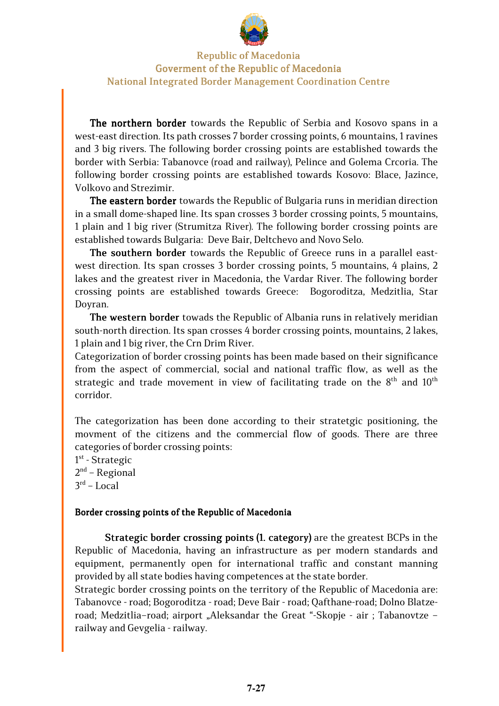

The northern border towards the Republic of Serbia and Kosovo spans in a west-east direction. Its path crosses 7 border crossing points, 6 mountains, 1 ravines and 3 big rivers. The following border crossing points are established towards the border with Serbia: Tabanovce (road and railway), Pelince and Golema Crcoria. The following border crossing points are established towards Kosovo: Blace, Jazince, Volkovo and Strezimir.

The eastern border towards the Republic of Bulgaria runs in meridian direction in a small dome-shaped line. Its span crosses 3 border crossing points, 5 mountains, 1 plain and 1 big river (Strumitza River). The following border crossing points are established towards Bulgaria: Deve Bair, Deltchevo and Novo Selo.

The southern border towards the Republic of Greece runs in a parallel eastwest direction. Its span crosses 3 border crossing points, 5 mountains, 4 plains, 2 lakes and the greatest river in Macedonia, the Vardar River. The following border crossing points are established towards Greece: Bogoroditza, Medzitlia, Star Doyran.

The western border towads the Republic of Albania runs in relatively meridian south-north direction. Its span crosses 4 border crossing points, mountains, 2 lakes, 1 plain and 1 big river, the Crn Drim River.

Categorization of border crossing points has been made based on their significance from the aspect of commercial, social and national traffic flow, as well as the strategic and trade movement in view of facilitating trade on the  $8<sup>th</sup>$  and  $10<sup>th</sup>$ corridor.

The categorization has been done according to their stratetgic positioning, the movment of the citizens and the commercial flow of goods. There are three categories of border crossing points:

1st - Strategic 2<sup>nd</sup> – Regional 3 rd – Local

#### Border crossing points of the Republic of Macedonia

Strategic border crossing points (1. category) are the greatest BCPs in the Republic of Macedonia, having an infrastructure as per modern standards and equipment, permanently open for international traffic and constant manning provided by all state bodies having competences at the state border.

Strategic border crossing points on the territory of the Republic of Macedonia are: Tabanovce - road; Bogoroditza - road; Deve Bair - road; Qafthane-road; Dolno Blatzeroad; Medzitlia-road; airport "Aleksandar the Great"-Skopje - air ; Tabanovtze railway and Gevgelia - railway.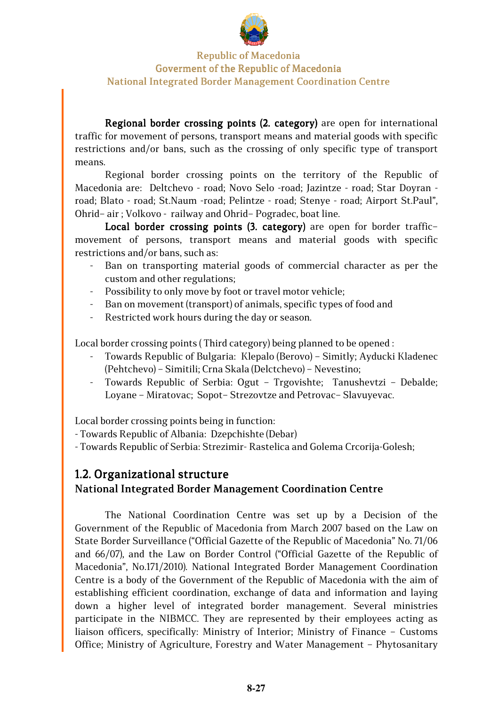

Regional border crossing points (2. category) are open for international traffic for movement of persons, transport means and material goods with specific restrictions and/or bans, such as the crossing of only specific type of transport means.

Regional border crossing points on the territory of the Republic of Macedonia are: Deltchevo - road; Novo Selo -road; Jazintze - road; Star Doyran road; Blato - road; St.Naum -road; Pelintze - road; Stenye - road; Airport St.Paul", Ohrid– air ; Volkovo - railway and Ohrid– Pogradec, boat line.

Local border crossing points (3. category) are open for border trafficmovement of persons, transport means and material goods with specific restrictions and/or bans, such as:

- Ban on transporting material goods of commercial character as per the custom and other regulations;
- Possibility to only move by foot or travel motor vehicle;
- Ban on movement (transport) of animals, specific types of food and
- Restricted work hours during the day or season.

Local border crossing points ( Third category) being planned to be opened :

- Towards Republic of Bulgaria: Klepalo (Berovo) Simitly; Ayducki Kladenec (Pehtchevo) – Simitili; Crna Skala (Delctchevo) – Nevestino;
- Towards Republic of Serbia: Ogut Trgovishte; Tanushevtzi Debalde; Loyane – Miratovac; Sopot– Strezovtze and Petrovac– Slavuyevac.

Local border crossing points being in function:

- Towards Republic of Albania: Dzepchishte (Debar)

- Towards Republic of Serbia: Strezimir- Rastelica and Golema Crcorija-Golesh;

## 1.2. Organizational structure National Integrated Border Management Coordination Centre

The National Coordination Centre was set up by a Decision of the Government of the Republic of Macedonia from March 2007 based on the Law on State Border Surveillance ("Official Gazette of the Republic of Macedonia" No. 71/06 and 66/07), and the Law on Border Control ("Official Gazette of the Republic of Macedonia", No.171/2010). National Integrated Border Management Coordination Centre is a body of the Government of the Republic of Macedonia with the aim of establishing efficient coordination, exchange of data and information and laying down a higher level of integrated border management. Several ministries participate in the NIBMCC. They are represented by their employees acting as liaison officers, specifically: Ministry of Interior; Ministry of Finance – Customs Office; Ministry of Agriculture, Forestry and Water Management – Phytosanitary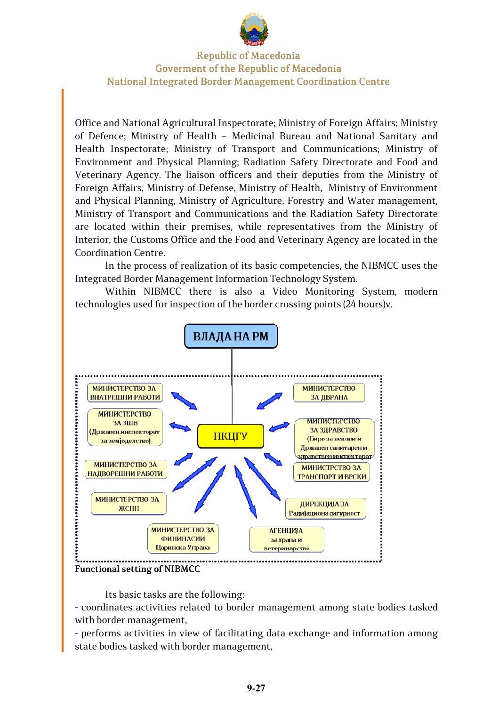

Office and National Agricultural Inspectorate; Ministry of Foreign Affairs; Ministry of Defence; Ministry of Health – Medicinal Bureau and National Sanitary and Health Inspectorate; Ministry of Transport and Communications; Ministry of Environment and Physical Planning; Radiation Safety Directorate and Food and Veterinary Agency. The liaison officers and their deputies from the Ministry of Foreign Affairs, Ministry of Defense, Ministry of Health, Ministry of Environment and Physical Planning, Ministry of Agriculture, Forestry and Water management, Ministry of Transport and Communications and the Radiation Safety Directorate are located within their premises, while representatives from the Ministry of Interior, the Customs Office and the Food and Veterinary Agency are located in the Coordination Centre.

In the process of realization of its basic competencies, the NIBMCC uses the Integrated Border Management Information Technology System.

Within NIBMCC there is also a Video Monitoring System, modern technologies used for inspection of the border crossing points (24 hours)v.



Its basic tasks are the following:

- coordinates activities related to border management among state bodies tasked with border management,

- performs activities in view of facilitating data exchange and information among state bodies tasked with border management,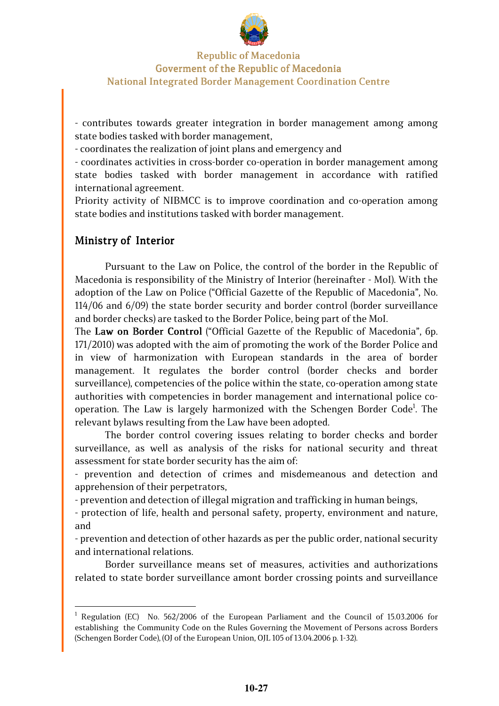

- contributes towards greater integration in border management among among state bodies tasked with border management,

- coordinates the realization of joint plans and emergency and

- coordinates activities in cross-border co-operation in border management among state bodies tasked with border management in accordance with ratified international agreement.

Priority activity of NIBMCC is to improve coordination and co-operation among state bodies and institutions tasked with border management.

## Ministry of Interior

Pursuant to the Law on Police, the control of the border in the Republic of Macedonia is responsibility of the Ministry of Interior (hereinafter - MoI). With the adoption of the Law on Police ("Official Gazette of the Republic of Macedonia", No. 114/06 and 6/09) the state border security and border control (border surveillance and border checks) are tasked to the Border Police, being part of the MoI.

The Law on Border Control ("Official Gazette of the Republic of Macedonia", 6p. 171/2010) was adopted with the aim of promoting the work of the Border Police and in view of harmonization with European standards in the area of border management. It regulates the border control (border checks and border surveillance), competencies of the police within the state, co-operation among state authorities with competencies in border management and international police cooperation. The Law is largely harmonized with the Schengen Border Code<sup>1</sup>. The relevant bylaws resulting from the Law have been adopted.

The border control covering issues relating to border checks and border surveillance, as well as analysis of the risks for national security and threat assessment for state border security has the aim of:

- prevention and detection of crimes and misdemeanous and detection and apprehension of their perpetrators,

- prevention and detection of illegal migration and trafficking in human beings,

- protection of life, health and personal safety, property, environment and nature, and

- prevention and detection of other hazards as per the public order, national security and international relations.

Border surveillance means set of measures, activities and authorizations related to state border surveillance amont border crossing points and surveillance

<sup>&</sup>lt;sup>1</sup> Regulation (EC) No. 562/2006 of the European Parliament and the Council of 15.03.2006 for establishing the Community Code on the Rules Governing the Movement of Persons across Borders (Schengen Border Code), (OJ of the European Union, ОJL 105 of 13.04.2006 p. 1-32).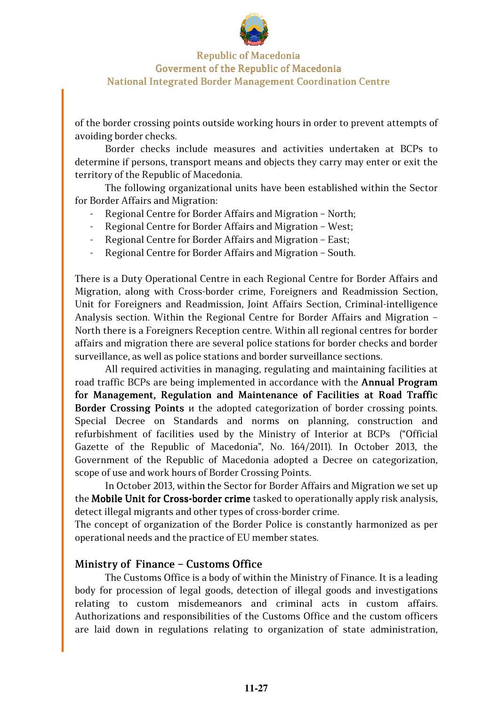

of the border crossing points outside working hours in order to prevent attempts of avoiding border checks.

Border checks include measures and activities undertaken at BCPs to determine if persons, transport means and objects they carry may enter or exit the territory of the Republic of Macedonia.

The following organizational units have been established within the Sector for Border Affairs and Migration:

- Regional Centre for Border Affairs and Migration North;
- Regional Centre for Border Affairs and Migration West;
- Regional Centre for Border Affairs and Migration East;
- Regional Centre for Border Affairs and Migration South.

There is a Duty Operational Centre in each Regional Centre for Border Affairs and Migration, along with Cross-border crime, Foreigners and Readmission Section, Unit for Foreigners and Readmission, Joint Affairs Section, Criminal-intelligence Analysis section. Within the Regional Centre for Border Affairs and Migration – North there is a Foreigners Reception centre. Within all regional centres for border affairs and migration there are several police stations for border checks and border surveillance, as well as police stations and border surveillance sections.

All required activities in managing, regulating and maintaining facilities at road traffic BCPs are being implemented in accordance with the Annual Program for Management, Regulation and Maintenance of Facilities at Road Traffic Border Crossing Points *u* the adopted categorization of border crossing points. Special Decree on Standards and norms on planning, construction and refurbishment of facilities used by the Ministry of Interior at BCPs ("Official Gazette of the Republic of Macedonia", No. 164/2011). In October 2013, the Government of the Republic of Macedonia adopted a Decree on categorization, scope of use and work hours of Border Crossing Points.

In October 2013, within the Sector for Border Affairs and Migration we set up the Mobile Unit for Cross-border crime tasked to operationally apply risk analysis, detect illegal migrants and other types of cross-border crime.

The concept of organization of the Border Police is constantly harmonized as per operational needs and the practice of EU member states.

#### Ministry of Finance - Customs Office

The Customs Office is a body of within the Ministry of Finance. It is a leading body for procession of legal goods, detection of illegal goods and investigations relating to custom misdemeanors and criminal acts in custom affairs. Authorizations and responsibilities of the Customs Office and the custom officers are laid down in regulations relating to organization of state administration,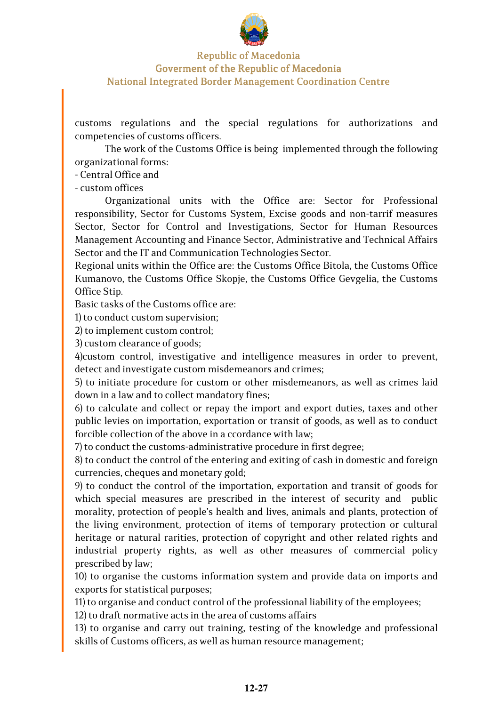

customs regulations and the special regulations for authorizations and competencies of customs officers.

The work of the Customs Office is being implemented through the following organizational forms:

- Central Office and

- custom offices

Organizational units with the Office are: Sector for Professional responsibility, Sector for Customs System, Excise goods and non-tarrif measures Sector, Sector for Control and Investigations, Sector for Human Resources Management Accounting and Finance Sector, Administrative and Technical Affairs Sector and the IT and Communication Technologies Sector.

Regional units within the Office are: the Customs Office Bitola, the Customs Office Kumanovo, the Customs Office Skopje, the Customs Office Gevgelia, the Customs Office Stip.

Basic tasks of the Customs office are:

1) to conduct custom supervision;

2) to implement custom control;

3) custom clearance of goods;

4)custom control, investigative and intelligence measures in order to prevent, detect and investigate custom misdemeanors and crimes;

5) to initiate procedure for custom or other misdemeanors, as well as crimes laid down in a law and to collect mandatory fines;

6) to calculate and collect or repay the import and export duties, taxes and other public levies on importation, exportation or transit of goods, as well as to conduct forcible collection of the above in a ccordance with law;

7) to conduct the customs-administrative procedure in first degree;

8) to conduct the control of the entering and exiting of cash in domestic and foreign currencies, cheques and monetary gold;

9) to conduct the control of the importation, exportation and transit of goods for which special measures are prescribed in the interest of security and public morality, protection of people's health and lives, animals and plants, protection of the living environment, protection of items of temporary protection or cultural heritage or natural rarities, protection of copyright and other related rights and industrial property rights, as well as other measures of commercial policy prescribed by law;

10) to organise the customs information system and provide data on imports and exports for statistical purposes;

11) to organise and conduct control of the professional liability of the employees;

12) to draft normative acts in the area of customs affairs

13) to organise and carry out training, testing of the knowledge and professional skills of Customs officers, as well as human resource management;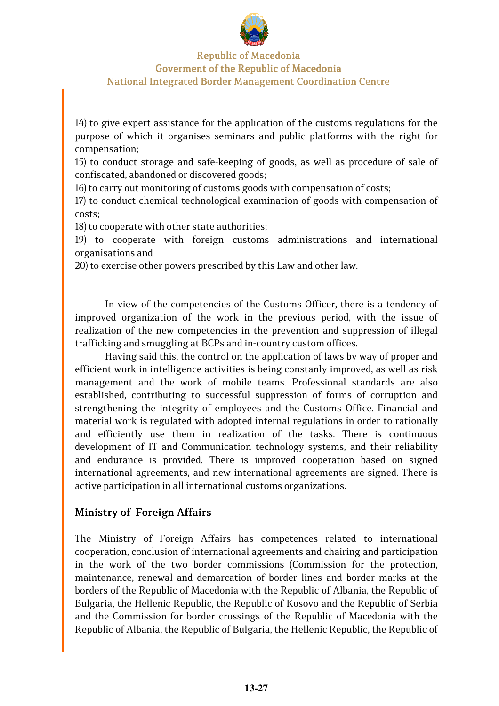

14) to give expert assistance for the application of the customs regulations for the purpose of which it organises seminars and public platforms with the right for compensation;

15) to conduct storage and safe-keeping of goods, as well as procedure of sale of confiscated, abandoned or discovered goods;

16) to carry out monitoring of customs goods with compensation of costs;

17) to conduct chemical-technological examination of goods with compensation of costs;

18) to cooperate with other state authorities;

19) to cooperate with foreign customs administrations and international organisations and

20) to exercise other powers prescribed by this Law and other law.

In view of the competencies of the Customs Officer, there is a tendency of improved organization of the work in the previous period, with the issue of realization of the new competencies in the prevention and suppression of illegal trafficking and smuggling at BCPs and in-country custom offices.

Having said this, the control on the application of laws by way of proper and efficient work in intelligence activities is being constanly improved, as well as risk management and the work of mobile teams. Professional standards are also established, contributing to successful suppression of forms of corruption and strengthening the integrity of employees and the Customs Office. Financial and material work is regulated with adopted internal regulations in order to rationally and efficiently use them in realization of the tasks. There is continuous development of IT and Communication technology systems, and their reliability and endurance is provided. There is improved cooperation based on signed international agreements, and new international agreements are signed. There is active participation in all international customs organizations.

## Ministry of Foreign Affairs

The Ministry of Foreign Affairs has competences related to international cooperation, conclusion of international agreements and chairing and participation in the work of the two border commissions (Commission for the protection, maintenance, renewal and demarcation of border lines and border marks at the borders of the Republic of Macedonia with the Republic of Albania, the Republic of Bulgaria, the Hellenic Republic, the Republic of Kosovo and the Republic of Serbia and the Commission for border crossings of the Republic of Macedonia with the Republic of Albania, the Republic of Bulgaria, the Hellenic Republic, the Republic of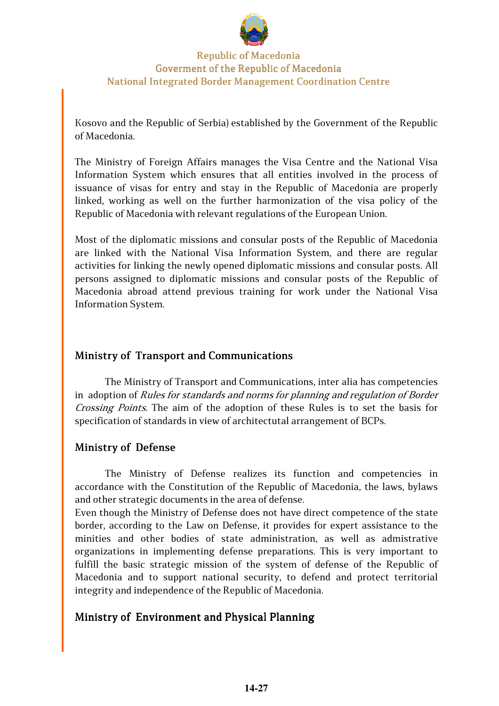

Kosovo and the Republic of Serbia) established by the Government of the Republic of Macedonia.

The Ministry of Foreign Affairs manages the Visa Centre and the National Visa Information System which ensures that all entities involved in the process of issuance of visas for entry and stay in the Republic of Macedonia are properly linked, working as well on the further harmonization of the visa policy of the Republic of Macedonia with relevant regulations of the European Union.

Most of the diplomatic missions and consular posts of the Republic of Macedonia are linked with the National Visa Information System, and there are regular activities for linking the newly opened diplomatic missions and consular posts. All persons assigned to diplomatic missions and consular posts of the Republic of Macedonia abroad attend previous training for work under the National Visa Information System.

## Ministry of Transport and Communications

The Ministry of Transport and Communications, inter alia has competencies in adoption of Rules for standards and norms for planning and regulation of Border Crossing Points. The aim of the adoption of these Rules is to set the basis for specification of standards in view of architectutal arrangement of BCPs.

## Ministry of Defense

The Ministry of Defense realizes its function and competencies in accordance with the Constitution of the Republic of Macedonia, the laws, bylaws and other strategic documents in the area of defense.

Even though the Ministry of Defense does not have direct competence of the state border, according to the Law on Defense, it provides for expert assistance to the minities and other bodies of state administration, as well as admistrative organizations in implementing defense preparations. This is very important to fulfill the basic strategic mission of the system of defense of the Republic of Macedonia and to support national security, to defend and protect territorial integrity and independence of the Republic of Macedonia.

#### Ministry of Environment and Physical Planning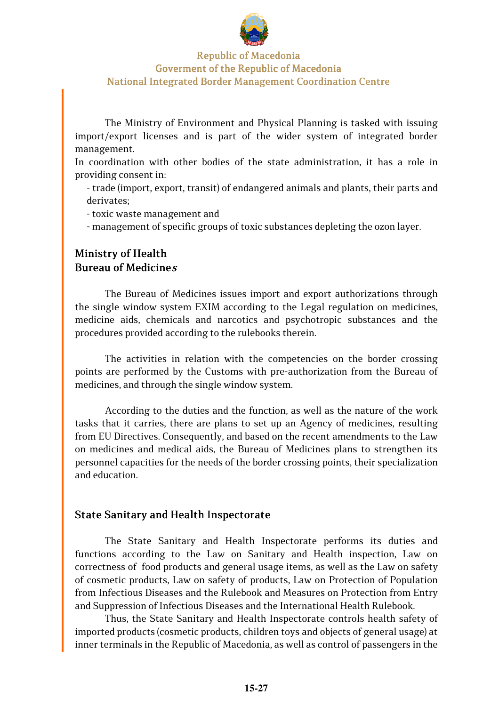

The Ministry of Environment and Physical Planning is tasked with issuing import/export licenses and is part of the wider system of integrated border management.

In coordination with other bodies of the state administration, it has a role in providing consent in:

- trade (import, export, transit) of endangered animals and plants, their parts and derivates;

- toxic waste management and

- management of specific groups of toxic substances depleting the ozon layer.

## Ministry of Health Bureau of Medicine<sup>s</sup>

The Bureau of Medicines issues import and export authorizations through the single window system EXIM according to the Legal regulation on medicines, medicine aids, chemicals and narcotics and psychotropic substances and the procedures provided according to the rulebooks therein.

The activities in relation with the competencies on the border crossing points are performed by the Customs with pre-authorization from the Bureau of medicines, and through the single window system.

According to the duties and the function, as well as the nature of the work tasks that it carries, there are plans to set up an Agency of medicines, resulting from EU Directives. Consequently, and based on the recent amendments to the Law on medicines and medical aids, the Bureau of Medicines plans to strengthen its personnel capacities for the needs of the border crossing points, their specialization and education.

#### State Sanitary and Health Inspectorate

The State Sanitary and Health Inspectorate performs its duties and functions according to the Law on Sanitary and Health inspection, Law on correctness of food products and general usage items, as well as the Law on safety of cosmetic products, Law on safety of products, Law on Protection of Population from Infectious Diseases and the Rulebook and Measures on Protection from Entry and Suppression of Infectious Diseases and the International Health Rulebook.

Thus, the State Sanitary and Health Inspectorate controls health safety of imported products (cosmetic products, children toys and objects of general usage) at inner terminals in the Republic of Macedonia, as well as control of passengers in the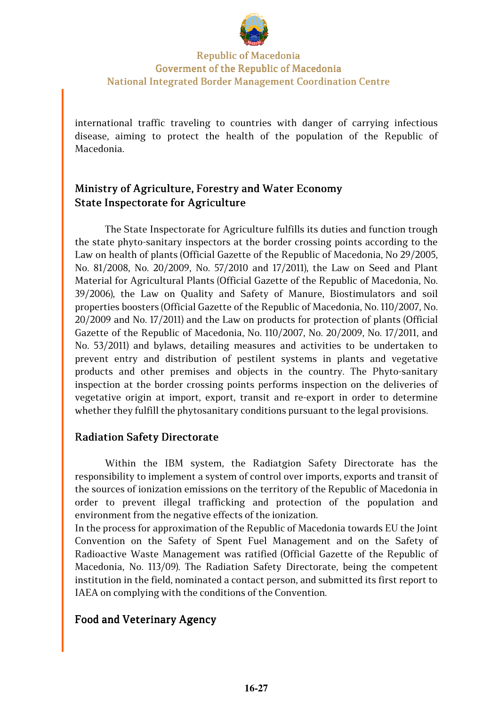

international traffic traveling to countries with danger of carrying infectious disease, aiming to protect the health of the population of the Republic of Macedonia.

## Ministry of Agriculture, Forestry and Water Economy State Inspectorate for Agriculture

The State Inspectorate for Agriculture fulfills its duties and function trough the state phyto-sanitary inspectors at the border crossing points according to the Law on health of plants (Official Gazette of the Republic of Macedonia, No 29/2005, No. 81/2008, No. 20/2009, No. 57/2010 and 17/2011), the Law on Seed and Plant Material for Agricultural Plants (Official Gazette of the Republic of Macedonia, No. 39/2006), the Law on Quality and Safety of Manure, Biostimulators and soil properties boosters (Official Gazette of the Republic of Macedonia, No. 110/2007, No. 20/2009 and No. 17/2011) and the Law on products for protection of plants (Official Gazette of the Republic of Macedonia, No. 110/2007, No. 20/2009, No. 17/2011, and No. 53/2011) and bylaws, detailing measures and activities to be undertaken to prevent entry and distribution of pestilent systems in plants and vegetative products and other premises and objects in the country. The Phyto-sanitary inspection at the border crossing points performs inspection on the deliveries of vegetative origin at import, export, transit and re-export in order to determine whether they fulfill the phytosanitary conditions pursuant to the legal provisions.

## **Radiation Safety Directorate**

Within the IBM system, the Radiatgion Safety Directorate has the responsibility to implement a system of control over imports, exports and transit of the sources of ionization emissions on the territory of the Republic of Macedonia in order to prevent illegal trafficking and protection of the population and environment from the negative effects of the ionization.

In the process for approximation of the Republic of Macedonia towards EU the Joint Convention on the Safety of Spent Fuel Management and on the Safety of Radioactive Waste Management was ratified (Official Gazette of the Republic of Macedonia, No. 113/09). The Radiation Safety Directorate, being the competent institution in the field, nominated a contact person, and submitted its first report to IAEA on complying with the conditions of the Convention.

#### Food and Veterinary Agency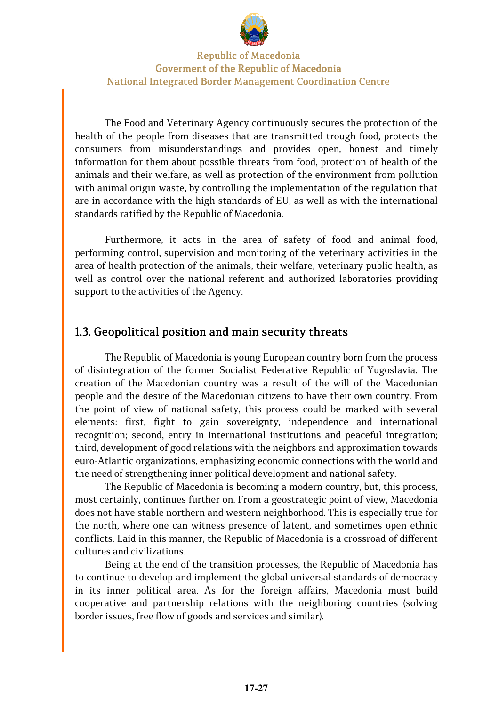

The Food and Veterinary Agency continuously secures the protection of the health of the people from diseases that are transmitted trough food, protects the consumers from misunderstandings and provides open, honest and timely information for them about possible threats from food, protection of health of the animals and their welfare, as well as protection of the environment from pollution with animal origin waste, by controlling the implementation of the regulation that are in accordance with the high standards of EU, as well as with the international standards ratified by the Republic of Macedonia.

Furthermore, it acts in the area of safety of food and animal food, performing control, supervision and monitoring of the veterinary activities in the area of health protection of the animals, their welfare, veterinary public health, as well as control over the national referent and authorized laboratories providing support to the activities of the Agency.

## 1.3. Geopolitical position and main security threats

The Republic of Macedonia is young European country born from the process of disintegration of the former Socialist Federative Republic of Yugoslavia. The creation of the Macedonian country was a result of the will of the Macedonian people and the desire of the Macedonian citizens to have their own country. From the point of view of national safety, this process could be marked with several elements: first, fight to gain sovereignty, independence and international recognition; second, entry in international institutions and peaceful integration; third, development of good relations with the neighbors and approximation towards euro-Atlantic organizations, emphasizing economic connections with the world and the need of strengthening inner political development and national safety.

The Republic of Macedonia is becoming a modern country, but, this process, most certainly, continues further on. From a geostrategic point of view, Macedonia does not have stable northern and western neighborhood. This is especially true for the north, where one can witness presence of latent, and sometimes open ethnic conflicts. Laid in this manner, the Republic of Macedonia is a crossroad of different cultures and civilizations.

Being at the end of the transition processes, the Republic of Macedonia has to continue to develop and implement the global universal standards of democracy in its inner political area. As for the foreign affairs, Macedonia must build cooperative and partnership relations with the neighboring countries (solving border issues, free flow of goods and services and similar).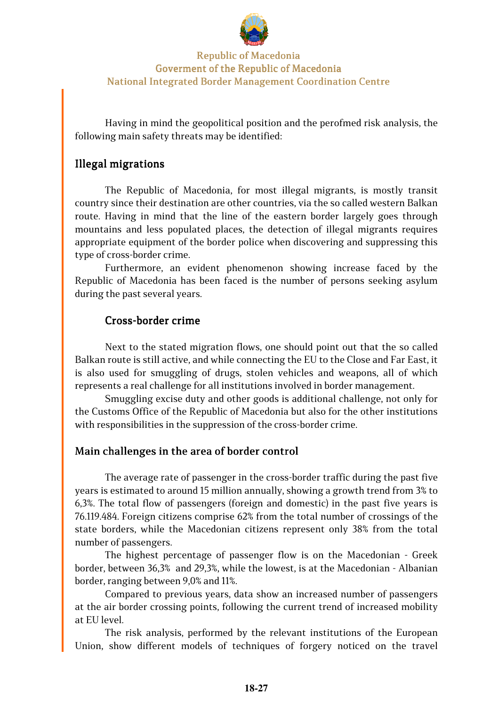

Having in mind the geopolitical position and the perofmed risk analysis, the following main safety threats may be identified:

## Illegal migrations

The Republic of Macedonia, for most illegal migrants, is mostly transit country since their destination are other countries, via the so called western Balkan route. Having in mind that the line of the eastern border largely goes through mountains and less populated places, the detection of illegal migrants requires appropriate equipment of the border police when discovering and suppressing this type of cross-border crime.

Furthermore, an evident phenomenon showing increase faced by the Republic of Macedonia has been faced is the number of persons seeking asylum during the past several years.

#### Cross-border crime

Next to the stated migration flows, one should point out that the so called Balkan route is still active, and while connecting the EU to the Close and Far East, it is also used for smuggling of drugs, stolen vehicles and weapons, all of which represents a real challenge for all institutions involved in border management.

Smuggling excise duty and other goods is additional challenge, not only for the Customs Office of the Republic of Macedonia but also for the other institutions with responsibilities in the suppression of the cross-border crime.

#### Main challenges in the area of border control

The average rate of passenger in the cross-border traffic during the past five years is estimated to around 15 million annually, showing a growth trend from 3% to 6,3%. The total flow of passengers (foreign and domestic) in the past five years is 76.119.484. Foreign citizens comprise 62% from the total number of crossings of the state borders, while the Macedonian citizens represent only 38% from the total number of passengers.

The highest percentage of passenger flow is on the Macedonian - Greek border, between 36,3% and 29,3%, while the lowest, is at the Macedonian - Albanian border, ranging between 9,0% and 11%.

Compared to previous years, data show an increased number of passengers at the air border crossing points, following the current trend of increased mobility at EU level.

The risk analysis, performed by the relevant institutions of the European Union, show different models of techniques of forgery noticed on the travel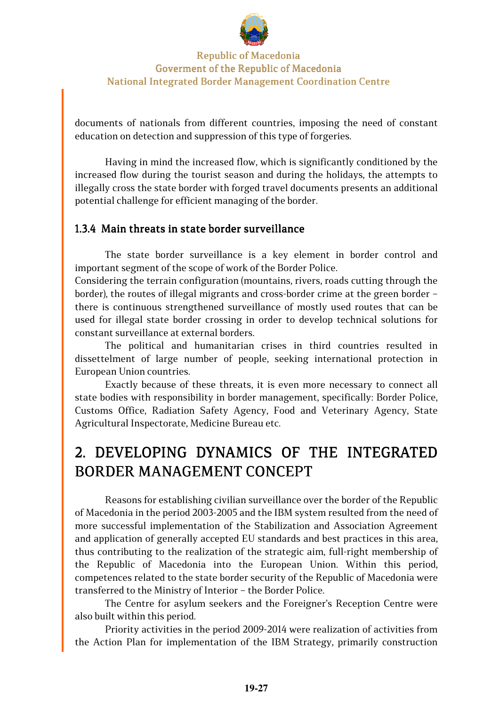

documents of nationals from different countries, imposing the need of constant education on detection and suppression of this type of forgeries.

Having in mind the increased flow, which is significantly conditioned by the increased flow during the tourist season and during the holidays, the attempts to illegally cross the state border with forged travel documents presents an additional potential challenge for efficient managing of the border.

#### 1.3.4 Main threats in state border surveillance

The state border surveillance is a key element in border control and important segment of the scope of work of the Border Police.

Considering the terrain configuration (mountains, rivers, roads cutting through the border), the routes of illegal migrants and cross-border crime at the green border – there is continuous strengthened surveillance of mostly used routes that can be used for illegal state border crossing in order to develop technical solutions for constant surveillance at external borders.

The political and humanitarian crises in third countries resulted in dissettelment of large number of people, seeking international protection in European Union countries.

Exactly because of these threats, it is even more necessary to connect all state bodies with responsibility in border management, specifically: Border Police, Customs Office, Radiation Safety Agency, Food and Veterinary Agency, State Agricultural Inspectorate, Medicine Bureau etc.

# 2. DEVELOPING DYNAMICS OF THE INTEGRATED BORDER MANAGEMENT CONCEPT

Reasons for establishing civilian surveillance over the border of the Republic of Macedonia in the period 2003-2005 and the IBM system resulted from the need of more successful implementation of the Stabilization and Association Agreement and application of generally accepted EU standards and best practices in this area, thus contributing to the realization of the strategic aim, full-right membership of the Republic of Macedonia into the European Union. Within this period, competences related to the state border security of the Republic of Macedonia were transferred to the Ministry of Interior – the Border Police.

The Centre for asylum seekers and the Foreigner's Reception Centre were also built within this period.

Priority activities in the period 2009-2014 were realization of activities from the Action Plan for implementation of the IBM Strategy, primarily construction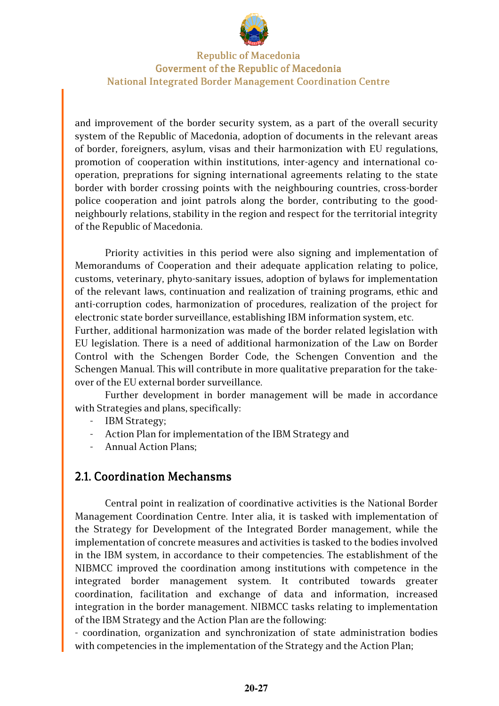

and improvement of the border security system, as a part of the overall security system of the Republic of Macedonia, adoption of documents in the relevant areas of border, foreigners, asylum, visas and their harmonization with EU regulations, promotion of cooperation within institutions, inter-agency and international cooperation, preprations for signing international agreements relating to the state border with border crossing points with the neighbouring countries, cross-border police cooperation and joint patrols along the border, contributing to the goodneighbourly relations, stability in the region and respect for the territorial integrity of the Republic of Macedonia.

Priority activities in this period were also signing and implementation of Memorandums of Cooperation and their adequate application relating to police, customs, veterinary, phyto-sanitary issues, adoption of bylaws for implementation of the relevant laws, continuation and realization of training programs, ethic and anti-corruption codes, harmonization of procedures, realization of the project for electronic state border surveillance, establishing IBM information system, etc.

Further, additional harmonization was made of the border related legislation with EU legislation. There is a need of additional harmonization of the Law on Border Control with the Schengen Border Code, the Schengen Convention and the Schengen Manual. This will contribute in more qualitative preparation for the takeover of the EU external border surveillance.

Further development in border management will be made in accordance with Strategies and plans, specifically:

- IBM Strategy;
- Action Plan for implementation of the IBM Strategy and
- Annual Action Plans;

## 2.1. Coordination Mechansms

Central point in realization of coordinative activities is the National Border Management Coordination Centre. Inter alia, it is tasked with implementation of the Strategy for Development of the Integrated Border management, while the implementation of concrete measures and activities is tasked to the bodies involved in the IBM system, in accordance to their competencies. The establishment of the NIBMCC improved the coordination among institutions with competence in the integrated border management system. It contributed towards greater coordination, facilitation and exchange of data and information, increased integration in the border management. NIBMCC tasks relating to implementation of the IBM Strategy and the Action Plan are the following:

- coordination, organization and synchronization of state administration bodies with competencies in the implementation of the Strategy and the Action Plan;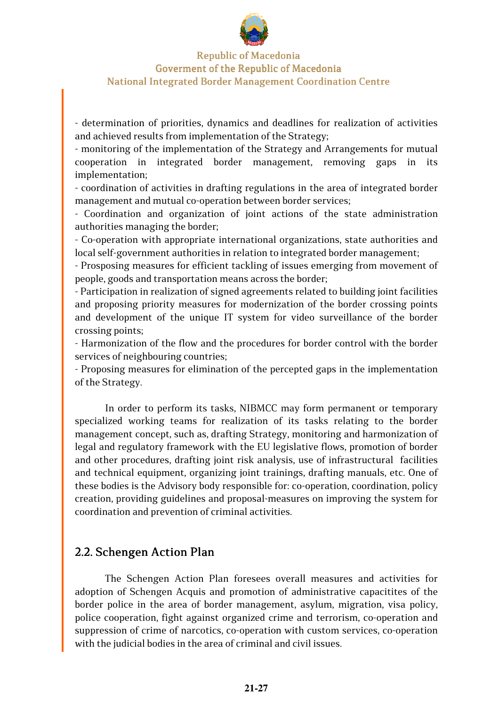

- determination of priorities, dynamics and deadlines for realization of activities and achieved results from implementation of the Strategy;

- monitoring of the implementation of the Strategy and Arrangements for mutual cooperation in integrated border management, removing gaps in its implementation;

- coordination of activities in drafting regulations in the area of integrated border management and mutual co-operation between border services;

- Coordination and organization of joint actions of the state administration authorities managing the border;

- Co-operation with appropriate international organizations, state authorities and local self-government authorities in relation to integrated border management;

- Prosposing measures for efficient tackling of issues emerging from movement of people, goods and transportation means across the border;

- Participation in realization of signed agreements related to building joint facilities and proposing priority measures for modernization of the border crossing points and development of the unique IT system for video surveillance of the border crossing points;

- Harmonization of the flow and the procedures for border control with the border services of neighbouring countries;

- Proposing measures for elimination of the percepted gaps in the implementation of the Strategy.

In order to perform its tasks, NIBMCC may form permanent or temporary specialized working teams for realization of its tasks relating to the border management concept, such as, drafting Strategy, monitoring and harmonization of legal and regulatory framework with the EU legislative flows, promotion of border and other procedures, drafting joint risk analysis, use of infrastructural facilities and technical equipment, organizing joint trainings, drafting manuals, etc. One of these bodies is the Advisory body responsible for: co-operation, coordination, policy creation, providing guidelines and proposal-measures on improving the system for coordination and prevention of criminal activities.

## 2.2. Schengen Action Plan

The Schengen Action Plan foresees overall measures and activities for adoption of Schengen Acquis and promotion of administrative capacitites of the border police in the area of border management, asylum, migration, visa policy, police cooperation, fight against organized crime and terrorism, co-operation and suppression of crime of narcotics, co-operation with custom services, co-operation with the judicial bodies in the area of criminal and civil issues.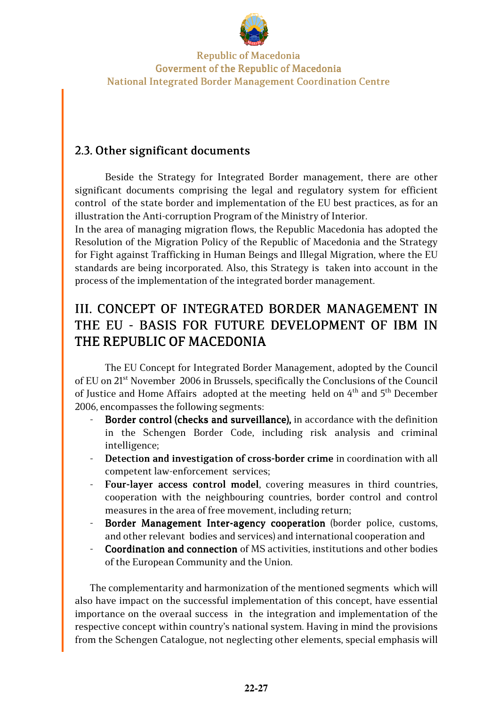

## 2.3. Other significant documents

Beside the Strategy for Integrated Border management, there are other significant documents comprising the legal and regulatory system for efficient control of the state border and implementation of the EU best practices, as for an illustration the Anti-corruption Program of the Ministry of Interior.

In the area of managing migration flows, the Republic Macedonia has adopted the Resolution of the Migration Policy of the Republic of Macedonia and the Strategy for Fight against Trafficking in Human Beings and Illegal Migration, where the EU standards are being incorporated. Also, this Strategy is taken into account in the process of the implementation of the integrated border management.

## III. CONCEPT OF INTEGRATED BORDER MANAGEMENT IN THE EU - BASIS FOR FUTURE DEVELOPMENT OF IBM IN THE REPUBLIC OF MACEDONIA

The EU Concept for Integrated Border Management, adopted by the Council of EU on 21st November 2006 in Brussels, specifically the Conclusions of the Council of Justice and Home Affairs adopted at the meeting held on  $4<sup>th</sup>$  and  $5<sup>th</sup>$  December 2006, encompasses the following segments:

- Border control (checks and surveillance), in accordance with the definition in the Schengen Border Code, including risk analysis and criminal intelligence;
- Detection and investigation of cross-border crime in coordination with all competent law-enforcement services;
- Four-layer access control model, covering measures in third countries, cooperation with the neighbouring countries, border control and control measures in the area of free movement, including return;
- Border Management Inter-agency cooperation (border police, customs, and other relevant bodies and services) and international cooperation and
- Coordination and connection of MS activities, institutions and other bodies of the European Community and the Union.

The complementarity and harmonization of the mentioned segments which will also have impact on the successful implementation of this concept, have essential importance on the overaal success in the integration and implementation of the respective concept within country's national system. Having in mind the provisions from the Schengen Catalogue, not neglecting other elements, special emphasis will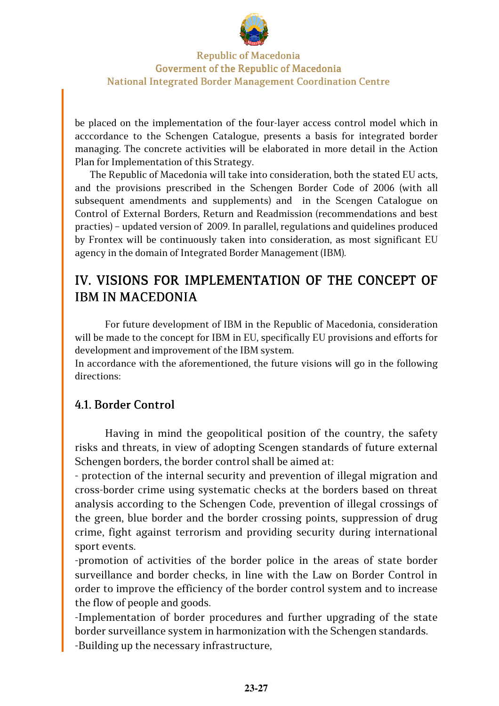

be placed on the implementation of the four-layer access control model which in acccordance to the Schengen Catalogue, presents a basis for integrated border managing. The concrete activities will be elaborated in more detail in the Action Plan for Implementation of this Strategy.

The Republic of Macedonia will take into consideration, both the stated EU acts, and the provisions prescribed in the Schengen Border Code of 2006 (with all subsequent amendments and supplements) and in the Scengen Catalogue on Control of External Borders, Return and Readmission (recommendations and best practies) – updated version of 2009. In parallel, regulations and quidelines produced by Frontex will be continuously taken into consideration, as most significant EU agency in the domain of Integrated Border Management (IBM).

## IV. VISIONS FOR IMPLEMENTATION OF THE CONCEPT OF **IBM IN MACEDONIA**

For future development of IBM in the Republic of Macedonia, consideration will be made to the concept for IBM in EU, specifically EU provisions and efforts for development and improvement of the IBM system.

In accordance with the aforementioned, the future visions will go in the following directions:

## 4.1. Border Control 4.1. Border Control .1. Border Control

Having in mind the geopolitical position of the country, the safety risks and threats, in view of adopting Scengen standards of future external Schengen borders, the border control shall be aimed at:

- protection of the internal security and prevention of illegal migration and cross-border crime using systematic checks at the borders based on threat analysis according to the Schengen Code, prevention of illegal crossings of the green, blue border and the border crossing points, suppression of drug crime, fight against terrorism and providing security during international sport events.

-promotion of activities of the border police in the areas of state border surveillance and border checks, in line with the Law on Border Control in order to improve the efficiency of the border control system and to increase the flow of people and goods.

-Implementation of border procedures and further upgrading of the state border surveillance system in harmonization with the Schengen standards. -Building up the necessary infrastructure,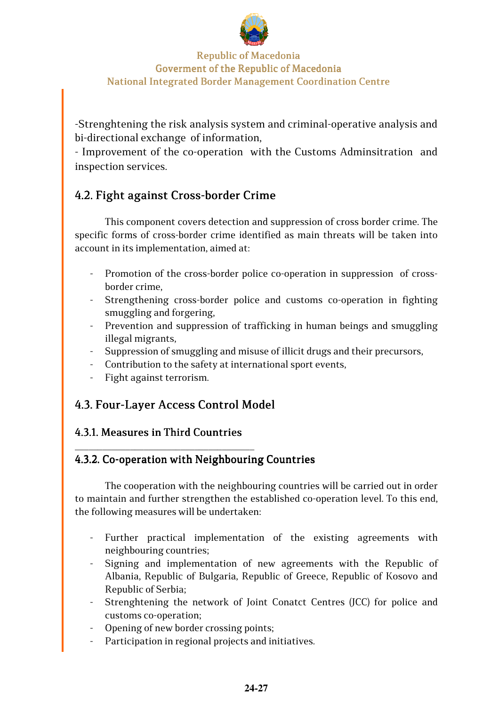

-Strenghtening the risk analysis system and criminal-operative analysis and bi-directional exchange of information,

- Improvement of the co-operation with the Customs Adminsitration and inspection services.

## 4.2. Fight against Cross-border Crime

This component covers detection and suppression of cross border crime. The specific forms of cross-border crime identified as main threats will be taken into account in its implementation, aimed at:

- Promotion of the cross-border police co-operation in suppression of crossborder crime,
- Strengthening cross-border police and customs co-operation in fighting smuggling and forgering,
- Prevention and suppression of trafficking in human beings and smuggling illegal migrants,
- Suppression of smuggling and misuse of illicit drugs and their precursors,
- Contribution to the safety at international sport events,
- Fight against terrorism.

## 4.3. Four-Layer Access Control Model

## 4.3.1. Measures in Third Countries

\_\_\_\_\_\_\_\_\_\_\_\_\_\_\_\_\_\_\_\_\_\_\_\_\_\_\_\_\_\_\_\_\_\_\_\_\_\_\_

## 4.3.2. Co-operation with Neighbouring Countries

The cooperation with the neighbouring countries will be carried out in order to maintain and further strengthen the established co-operation level. To this end, the following measures will be undertaken:

- Further practical implementation of the existing agreements with neighbouring countries;
- Signing and implementation of new agreements with the Republic of Albania, Republic of Bulgaria, Republic of Greece, Republic of Kosovo and Republic of Serbia;
- Strenghtening the network of Joint Conatct Centres (JCC) for police and customs co-operation;
- Opening of new border crossing points;
- Participation in regional projects and initiatives.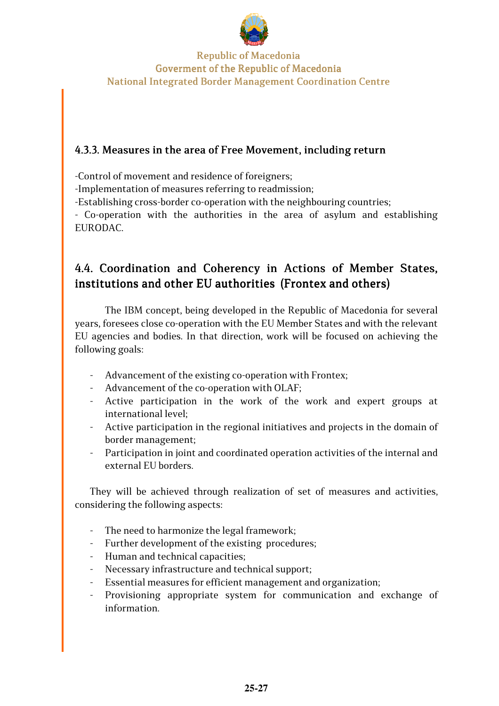

## 4.3.3. Measures in the area of Free Movement, including return

-Control of movement and residence of foreigners;

-Implementation of measures referring to readmission;

-Establishing cross-border co-operation with the neighbouring countries;

- Co-operation with the authorities in the area of asylum and establishing EURODAC.

## 4.4. Coordination and Coherency in Actions of Member States, institutions and other EU authorities (Frontex and others)

The IBM concept, being developed in the Republic of Macedonia for several years, foresees close co-operation with the EU Member States and with the relevant EU agencies and bodies. In that direction, work will be focused on achieving the following goals:

- Advancement of the existing co-operation with Frontex;
- Advancement of the co-operation with OLAF;
- Active participation in the work of the work and expert groups at international level;
- Active participation in the regional initiatives and projects in the domain of border management;
- Participation in joint and coordinated operation activities of the internal and external EU borders.

They will be achieved through realization of set of measures and activities, considering the following aspects:

- The need to harmonize the legal framework;
- Further development of the existing procedures;
- Human and technical capacities;
- Necessary infrastructure and technical support;
- Essential measures for efficient management and organization;
- Provisioning appropriate system for communication and exchange of information.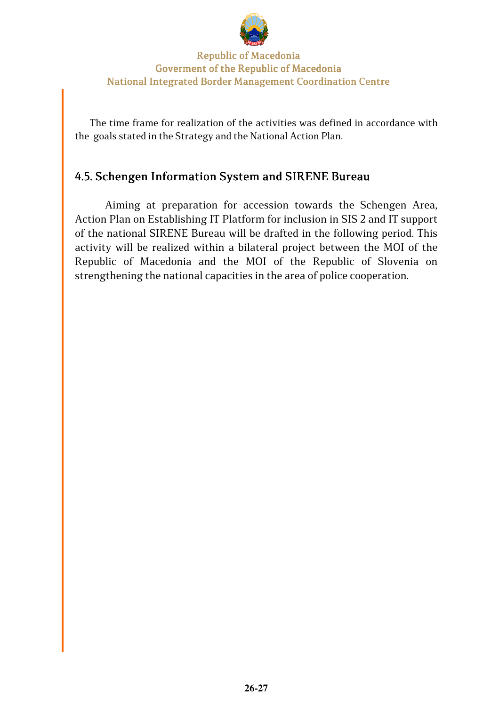

The time frame for realization of the activities was defined in accordance with the goals stated in the Strategy and the National Action Plan.

## 4.5. Schengen Information System and SIRENE Bureau

Aiming at preparation for accession towards the Schengen Area, Action Plan on Establishing IT Platform for inclusion in SIS 2 and IT support of the national SIRENE Bureau will be drafted in the following period. This activity will be realized within a bilateral project between the MOI of the Republic of Macedonia and the MOI of the Republic of Slovenia on strengthening the national capacities in the area of police cooperation.